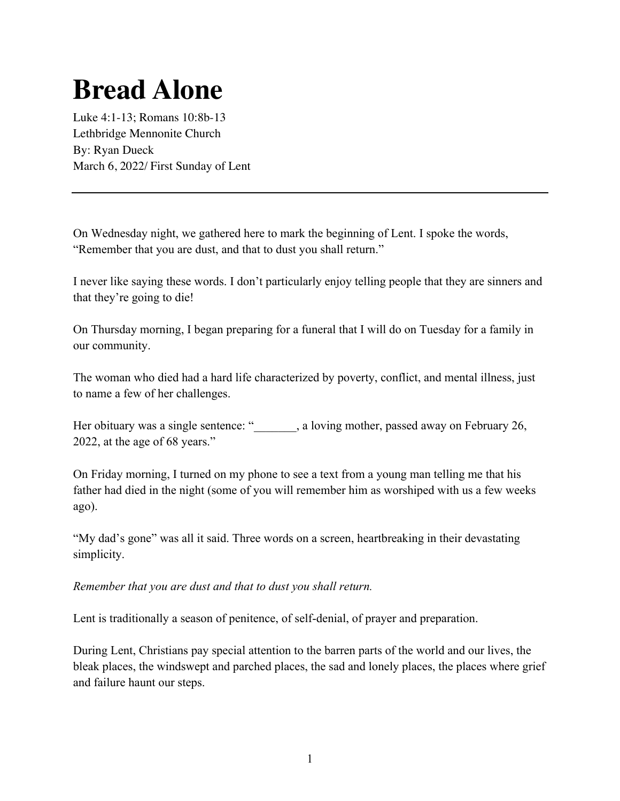## **Bread Alone**

Luke 4:1-13; Romans 10:8b-13 Lethbridge Mennonite Church By: Ryan Dueck March 6, 2022/ First Sunday of Lent

On Wednesday night, we gathered here to mark the beginning of Lent. I spoke the words, "Remember that you are dust, and that to dust you shall return."

I never like saying these words. I don't particularly enjoy telling people that they are sinners and that they're going to die!

On Thursday morning, I began preparing for a funeral that I will do on Tuesday for a family in our community.

The woman who died had a hard life characterized by poverty, conflict, and mental illness, just to name a few of her challenges.

Her obituary was a single sentence: ", a loving mother, passed away on February 26, 2022, at the age of 68 years."

On Friday morning, I turned on my phone to see a text from a young man telling me that his father had died in the night (some of you will remember him as worshiped with us a few weeks ago).

"My dad's gone" was all it said. Three words on a screen, heartbreaking in their devastating simplicity.

## *Remember that you are dust and that to dust you shall return.*

Lent is traditionally a season of penitence, of self-denial, of prayer and preparation.

During Lent, Christians pay special attention to the barren parts of the world and our lives, the bleak places, the windswept and parched places, the sad and lonely places, the places where grief and failure haunt our steps.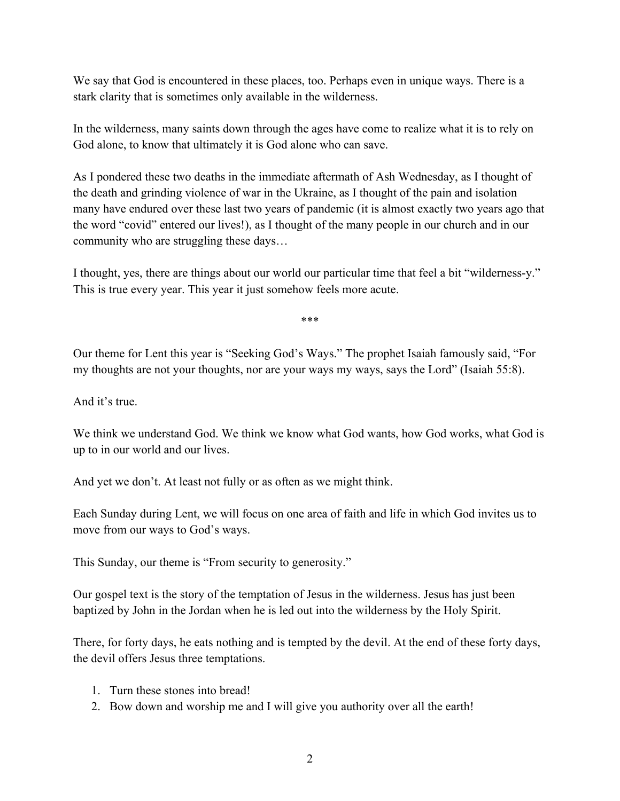We say that God is encountered in these places, too. Perhaps even in unique ways. There is a stark clarity that is sometimes only available in the wilderness.

In the wilderness, many saints down through the ages have come to realize what it is to rely on God alone, to know that ultimately it is God alone who can save.

As I pondered these two deaths in the immediate aftermath of Ash Wednesday, as I thought of the death and grinding violence of war in the Ukraine, as I thought of the pain and isolation many have endured over these last two years of pandemic (it is almost exactly two years ago that the word "covid" entered our lives!), as I thought of the many people in our church and in our community who are struggling these days…

I thought, yes, there are things about our world our particular time that feel a bit "wilderness-y." This is true every year. This year it just somehow feels more acute.

\*\*\*

Our theme for Lent this year is "Seeking God's Ways." The prophet Isaiah famously said, "For my thoughts are not your thoughts, nor are your ways my ways, says the Lord" (Isaiah 55:8).

And it's true.

We think we understand God. We think we know what God wants, how God works, what God is up to in our world and our lives.

And yet we don't. At least not fully or as often as we might think.

Each Sunday during Lent, we will focus on one area of faith and life in which God invites us to move from our ways to God's ways.

This Sunday, our theme is "From security to generosity."

Our gospel text is the story of the temptation of Jesus in the wilderness. Jesus has just been baptized by John in the Jordan when he is led out into the wilderness by the Holy Spirit.

There, for forty days, he eats nothing and is tempted by the devil. At the end of these forty days, the devil offers Jesus three temptations.

- 1. Turn these stones into bread!
- 2. Bow down and worship me and I will give you authority over all the earth!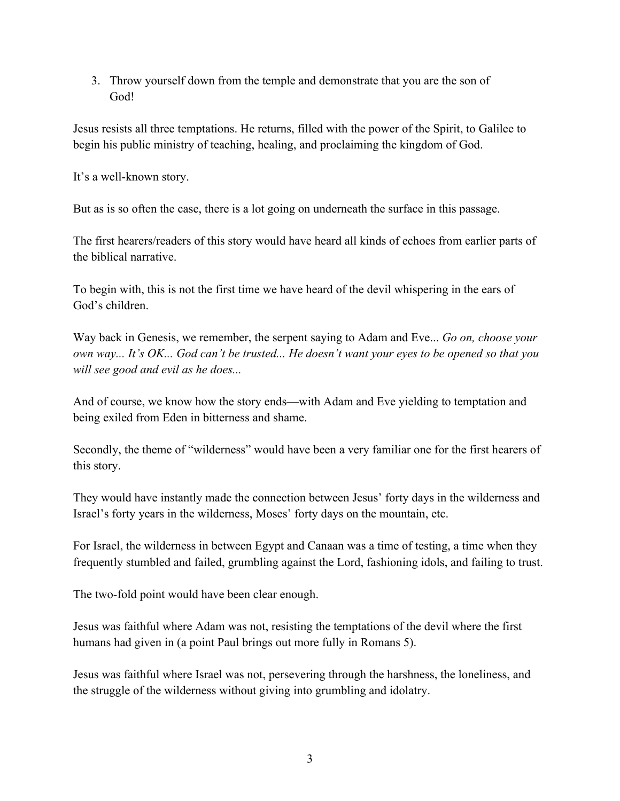3. Throw yourself down from the temple and demonstrate that you are the son of God!

Jesus resists all three temptations. He returns, filled with the power of the Spirit, to Galilee to begin his public ministry of teaching, healing, and proclaiming the kingdom of God.

It's a well-known story.

But as is so often the case, there is a lot going on underneath the surface in this passage.

The first hearers/readers of this story would have heard all kinds of echoes from earlier parts of the biblical narrative.

To begin with, this is not the first time we have heard of the devil whispering in the ears of God's children.

Way back in Genesis, we remember, the serpent saying to Adam and Eve... *Go on, choose your own way... It's OK... God can't be trusted... He doesn't want your eyes to be opened so that you will see good and evil as he does...*

And of course, we know how the story ends—with Adam and Eve yielding to temptation and being exiled from Eden in bitterness and shame.

Secondly, the theme of "wilderness" would have been a very familiar one for the first hearers of this story.

They would have instantly made the connection between Jesus' forty days in the wilderness and Israel's forty years in the wilderness, Moses' forty days on the mountain, etc.

For Israel, the wilderness in between Egypt and Canaan was a time of testing, a time when they frequently stumbled and failed, grumbling against the Lord, fashioning idols, and failing to trust.

The two-fold point would have been clear enough.

Jesus was faithful where Adam was not, resisting the temptations of the devil where the first humans had given in (a point Paul brings out more fully in Romans 5).

Jesus was faithful where Israel was not, persevering through the harshness, the loneliness, and the struggle of the wilderness without giving into grumbling and idolatry.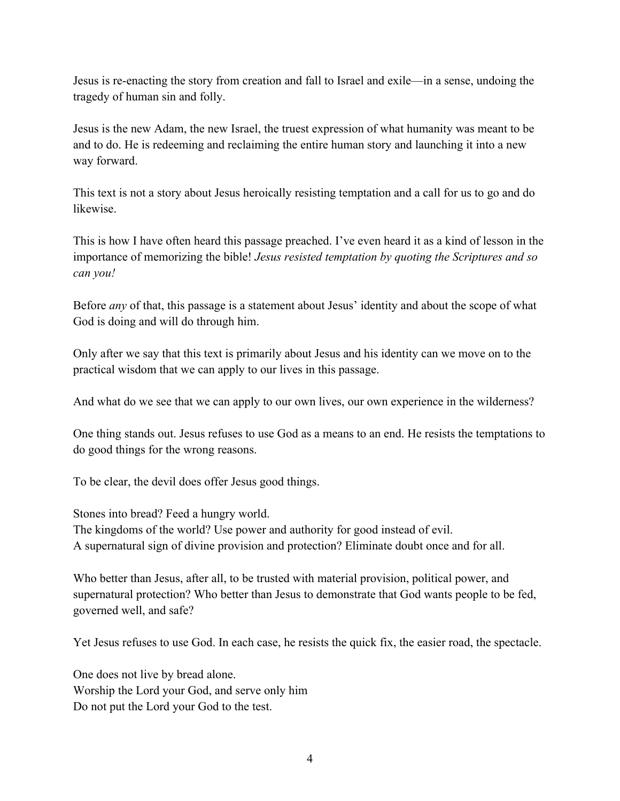Jesus is re-enacting the story from creation and fall to Israel and exile—in a sense, undoing the tragedy of human sin and folly.

Jesus is the new Adam, the new Israel, the truest expression of what humanity was meant to be and to do. He is redeeming and reclaiming the entire human story and launching it into a new way forward.

This text is not a story about Jesus heroically resisting temptation and a call for us to go and do likewise.

This is how I have often heard this passage preached. I've even heard it as a kind of lesson in the importance of memorizing the bible! *Jesus resisted temptation by quoting the Scriptures and so can you!* 

Before *any* of that, this passage is a statement about Jesus' identity and about the scope of what God is doing and will do through him.

Only after we say that this text is primarily about Jesus and his identity can we move on to the practical wisdom that we can apply to our lives in this passage.

And what do we see that we can apply to our own lives, our own experience in the wilderness?

One thing stands out. Jesus refuses to use God as a means to an end. He resists the temptations to do good things for the wrong reasons.

To be clear, the devil does offer Jesus good things.

Stones into bread? Feed a hungry world.

The kingdoms of the world? Use power and authority for good instead of evil. A supernatural sign of divine provision and protection? Eliminate doubt once and for all.

Who better than Jesus, after all, to be trusted with material provision, political power, and supernatural protection? Who better than Jesus to demonstrate that God wants people to be fed, governed well, and safe?

Yet Jesus refuses to use God. In each case, he resists the quick fix, the easier road, the spectacle.

One does not live by bread alone. Worship the Lord your God, and serve only him Do not put the Lord your God to the test.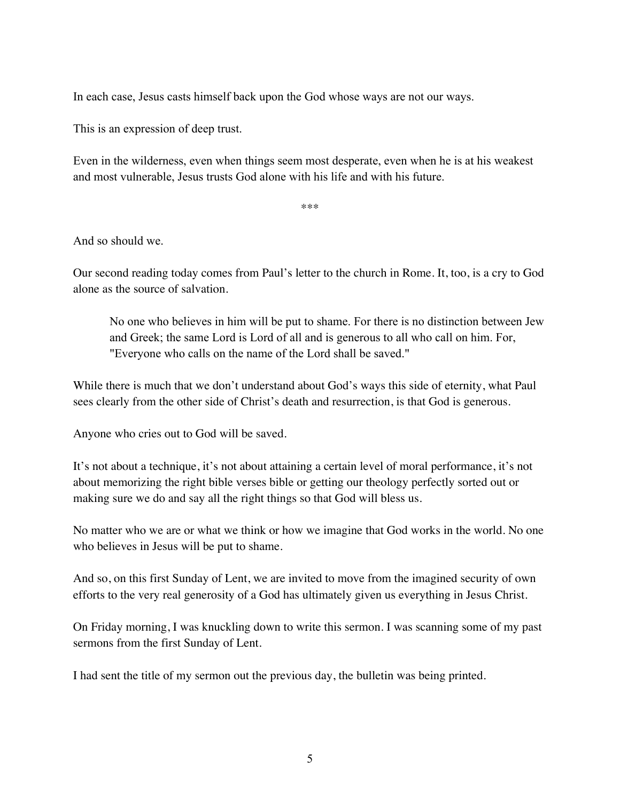In each case, Jesus casts himself back upon the God whose ways are not our ways.

This is an expression of deep trust.

Even in the wilderness, even when things seem most desperate, even when he is at his weakest and most vulnerable, Jesus trusts God alone with his life and with his future.

\*\*\*

And so should we.

Our second reading today comes from Paul's letter to the church in Rome. It, too, is a cry to God alone as the source of salvation.

No one who believes in him will be put to shame. For there is no distinction between Jew and Greek; the same Lord is Lord of all and is generous to all who call on him. For, "Everyone who calls on the name of the Lord shall be saved."

While there is much that we don't understand about God's ways this side of eternity, what Paul sees clearly from the other side of Christ's death and resurrection, is that God is generous.

Anyone who cries out to God will be saved.

It's not about a technique, it's not about attaining a certain level of moral performance, it's not about memorizing the right bible verses bible or getting our theology perfectly sorted out or making sure we do and say all the right things so that God will bless us.

No matter who we are or what we think or how we imagine that God works in the world. No one who believes in Jesus will be put to shame.

And so, on this first Sunday of Lent, we are invited to move from the imagined security of own efforts to the very real generosity of a God has ultimately given us everything in Jesus Christ.

On Friday morning, I was knuckling down to write this sermon. I was scanning some of my past sermons from the first Sunday of Lent.

I had sent the title of my sermon out the previous day, the bulletin was being printed.